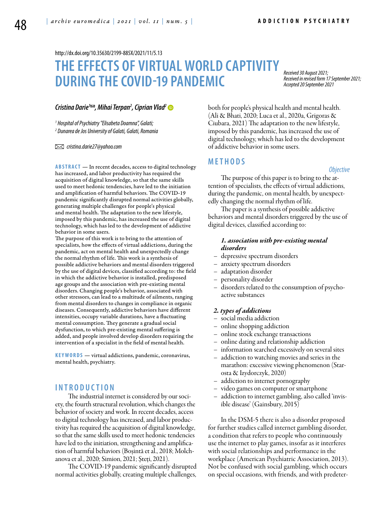<http://dx.doi.org/10.35630/2199-885X/2021/11/5.13>

# **THE EFFECTS OF VIRTUAL WORLD CAPTIVITY DURING THE COVID-19 PANDEMIC**

*Received 30 August 2021; Received in revised form 17 September 2021; Accepted 20 September 2021*

# *Cristina Darie1 , Mihai Terpan2 , [Ciprian Vlad2](https://orcid.org/0000-0003-2545-3391)*

*1 Hospital of Psychiatry "Elisabeta Doamna", Galati; 2 Dunarea de Jos University of Galati, Galati, Romania* 

 *cristina.darie27@yahoo.com* 

ABSTRACT — In recent decades, access to digital technology has increased, and labor productivity has required the acquisition of digital knowledge, so that the same skills used to meet hedonic tendencies, have led to the initiation and amplification of harmful behaviors. The COVID-19 pandemic significantly disrupted normal activities globally, generating multiple challenges for people's physical and mental health. The adaptation to the new lifestyle, imposed by this pandemic, has increased the use of digital technology, which has led to the development of addictive behavior in some users.

The purpose of this work is to bring to the attention of specialists, how the effects of virtual addictions, during the pandemic, act on mental health and unexpectedly change the normal rhythm of life. This work is a synthesis of possible addictive behaviors and mental disorders triggered by the use of digital devices, classified according to: the field in which the addictive behavior is installed, predisposed age groups and the association with pre-existing mental disorders. Changing people's behavior, associated with other stressors, can lead to a multitude of ailments, ranging from mental disorders to changes in compliance in organic diseases. Consequently, addictive behaviors have different intensities, occupy variable durations, have a fluctuating mental consumption. They generate a gradual social dysfunction, to which pre-existing mental suffering is added, and people involved develop disorders requiring the intervention of a specialist in the field of mental health.

KEYWORDS — virtual addictions, pandemic, coronavirus, mental health, psychiatry.

# **I n t r o d uct i o n**

The industrial internet is considered by our society, the fourth structural revolution, which changes the behavior of society and work. In recent decades, access to digital technology has increased, and labor productivity has required the acquisition of digital knowledge, so that the same skills used to meet hedonic tendencies have led to the initiation, strengthening and amplification of harmful behaviors (Boșintă et al., 2018; Molchanova et al., 2020; Simion, 2021; Șteți, 2021).

The COVID-19 pandemic significantly disrupted normal activities globally, creating multiple challenges,

both for people's physical health and mental health. (Ali & Bhati, 2020; Luca et al., 2020a, Grigoras & Ciubara, 2021) The adaptation to the new lifestyle, imposed by this pandemic, has increased the use of digital technology, which has led to the development of addictive behavior in some users.

# **MET H ODS**

#### *Objective*

The purpose of this paper is to bring to the attention of specialists, the effects of virtual addictions, during the pandemic, on mental health, by unexpectedly changing the normal rhythm of life.

The paper is a synthesis of possible addictive behaviors and mental disorders triggered by the use of digital devices, classified according to:

# *1. association with pre-existing mental disorders*

- depressive spectrum disorders
- anxiety spectrum disorders
- adaptation disorder
- personality disorder
- disorders related to the consumption of psychoactive substances

#### *2. types of addictions*

- social media addiction
- online shopping addiction
- online stock exchange transactions
- online dating and relationship addiction
- information searched excessively on several sites
- addiction to watching movies and series in the marathon: excessive viewing phenomenon (Starosta & Izydorczyk, 2020)
- addiction to internet pornography
- video games on computer or smartphone
- addiction to internet gambling, also called 'invisible disease' (Gainsbury, 2015)

In the DSM-5 there is also a disorder proposed for further studies called internet gambling disorder, a condition that refers to people who continuously use the internet to play games, insofar as it interferes with social relationships and performance in the workplace (American Psychiatric Association, 2013). Not be confused with social gambling, which occurs on special occasions, with friends, and with predeter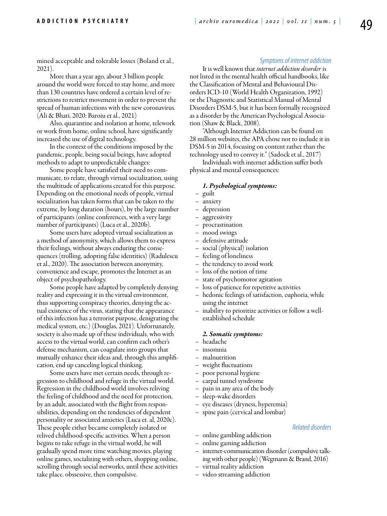mined acceptable and tolerable losses (Boland et al., 2021).

More than a year ago, about 3 billion people around the world were forced to stay home, and more than 130 countries have ordered a certain level of restrictions to restrict movement in order to prevent the spread of human infections with the new coronavirus. (Ali & Bhati, 2020; Baroiu et al., 2021)

Also, quarantine and isolation at home, telework or work from home, online school, have significantly increased the use of digital technology.

In the context of the conditions imposed by the pandemic, people, being social beings, have adopted methods to adapt to unpredictable changes:

Some people have satisfied their need to communicate, to relate, through virtual socialization, using the multitude of applications created for this purpose. Depending on the emotional needs of people, virtual socialization has taken forms that can be taken to the extreme, by long duration (hours), by the large number of participants (online conferences, with a very large number of participants) (Luca et al., 2020b).

Some users have adopted virtual socialization as a method of anonymity, which allows them to express their feelings, without always enduring the consequences (trolling, adopting false identities) (Radulescu et al., 2020). The association between anonymity, convenience and escape, promotes the Internet as an object of psychopathology.

Some people have adapted by completely denying reality and expressing it in the virtual environment, thus supporting conspiracy theories, denying the actual existence of the virus, stating that the appearance of this infection has a terrorist purpose, denigrating the medical system, etc.) (Douglas, 2021). Unfortunately, society is also made up of these individuals, who with access to the virtual world, can confirm each other's defense mechanism, can coagulate into groups that mutually enhance their ideas and, through this amplification, end up canceling logical thinking.

Some users have met certain needs, through regression to childhood and refuge in the virtual world. Regression in the childhood world involves reliving the feeling of childhood and the need for protection, by an adult, associated with the flight from responsibilities, depending on the tendencies of dependent personality or associated anxieties (Luca et. al, 2020c). These people either became completely isolated or relived childhood-specific activities. When a person begins to take refuge in the virtual world, he will gradually spend more time watching movies, playing online games, socializing with others, shopping online, scrolling through social networks, until these activities take place. obssessive, then compulsive.

## *Symptoms of internet addiction*

It is well known that *internet addiction disorder* is not listed in the mental health official handbooks, like the Classification of Mental and Behavioural Disorders ICD-10 (World Health Organization, 1992) or the Diagnostic and Statistical Manual of Mental Disorders DSM-5, but it has been formally recognized as a disorder by the American Psychological Association (Shaw & Black, 2008).

"Although Internet Addiction can be found on 28 million websites, the APA chose not to include it in DSM-5 in 2014, focusing on content rather than the technology used to convey it." (Sadock et al., 2017)

Individuals with internet addiction suffer both physical and mental consequences:

#### *1. Psychological symptoms:*

- guilt
- anxiety
- depression
- aggressivity
- procrastination
- mood swings
- defensive attitude
- social (physical) isolation
- feeling of loneliness
- the tendency to avoid work
- loss of the notion of time
- state of psychomotor agitation
- loss of patience for repetitive activities
- hedonic feelings of satisfaction, euphoria, while using the internet
- inability to prioritize activities or follow a wellestablished schedule

#### *2. Somatic symptoms:*

- headache
- insomnia
- malnutrition
- weight fluctuations
- poor personal hygiene
- carpal tunnel syndrome
- pain in any area of the body
- sleep-wake disorders
- eye diseases (dryness, hyperemia)
- spine pain (cervical and lombar)

#### *Related disorders*

- online gambling addiction
- online gaming addiction
- internet-communication disorder (compulsive talking with other people) (Wegmann & Brand, 2016)
- virtual reality addiction
- video streaming addiction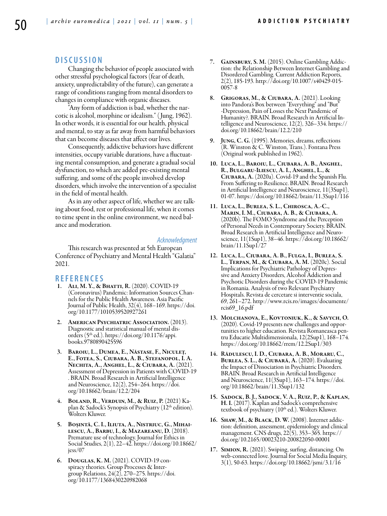# **DISC U SSION**

Changing the behavior of people associated with other stressful psychological factors (fear of death, anxiety, unpredictability of the future), can generate a range of conditions ranging from mental disorders to changes in compliance with organic diseases.

"Any form of addiction is bad, whether the narcotic is alcohol, morphine or idealism." ( Jung, 1962). In other words, it is essential for our health, physical and mental, to stay as far away from harmful behaviors that can become diseases that affect our lives.

Consequently, addictive behaviors have different intensities, occupy variable durations, have a fluctuating mental consumption, and generate a gradual social dysfunction, to which are added pre-existing mental suffering, and some of the people involved develop disorders, which involve the intervention of a specialist in the field of mental health.

As in any other aspect of life, whether we are talking about food, rest or professional life, when it comes to time spent in the online environment, we need balance and moderation.

#### *Acknowledgment*

This research was presented at 5th European Conference of Psychiatry and Mental Health "Galatia" 2021.

### **REFEREN CES**

- 1. Ali, M. Y., & Bhatti, R. (2020). COVID-19 (Coronavirus) Pandemic: Information Sources Channels for the Public Health Awareness. Asia Pacific Journal of Public Health, 32(4), 168–169. https://doi. org/10.1177/1010539520927261
- 2. American Psychiatric Association. (2013). Diagnostic and statistical manual of mental disorders (5th ed.). https://doi.org/10.1176/appi. books.9780890425596
- 3. Baroiu, L., Dumea, E., Năstase, F., Niculeț, E., Fotea, S., Ciubara, A. B., Stefanopol, I. A. Nechita, A., Anghel, L., & Ciubara, A. (2021). Assessment of Depression in Patients with COVID-19 . BRAIN. Broad Research in Artificial Intelligence and Neuroscience, 12(2), 254–264. https://doi. org/10.18662/brain/12.2/204
- 4. BOLAND, R., VERDUIN, M., & RUIZ, P. (2021) Ka-<br>plan & Sadock's Synopsis of Psychiatry (12<sup>th</sup> edition). Wolters Kluwer.
- 5. Boșintă, C. I., Iliuta, A., Nistriuc, G., Mihai- lescu, A., Barbu, I., & Mazareanu, D. (2018). Premature use of technology. Journal for Ethics in Social Studies, 2(1), 22–42. https://doi.org/10.18662/ jess/07
- 6. Douglas, K. M. (2021). COVID-19 con- spiracy theories. Group Processes & Inter- group Relations, 24(2), 270–275. https://doi. org/10.1177/1368430220982068
- 7. GAINSBURY, S. M. (2015). Online Gambling Addiction: the Relationship Between Internet Gambling and Disordered Gambling. Current Addiction Reports, 2(2), 185-193. http://doi.org/10.1007/s40429-015- 0057-8
- 8. Grigoras, M., & Ciubara, A. (2021). Looking into Pandora's Box between "Everything" and "But" -Depression, Pain of Losses the Next Pandemic of telligence and Neuroscience, 12(2), 326–334. https:// doi.org/10.18662/brain/12.2/210
- 9. Jung, C. G. (1995). Memories, dreams, reflections (R. Winston & C. Winston, Trans.). Fontana Press (Original work published in 1962).
- 10. Luca, L., Baroiu, L., Ciubara, A. B., Anghel, R., Bulgaru-Iliescu, A. I., Anghel, L., & Ciubara, A. (2020a). Covid-19 and the Spanish Flu. From Suffering to Resilience. BRAIN. Broad Research in Artificial Intelligence and Neuroscience, 11(3Sup1), 01-07. https://doi.org/10.18662/brain/11.3Sup1/116
- 11. Luca, L., Burlea, S. L., Chirosca, A.-C., Marin, I. M., Ciubara, A. B., & Ciubara, A. (2020b). The FOMO Syndrome and the Perception of Personal Needs in Contemporary Society. BRAIN. science, 11(1Sup1), 38–46. https://doi.org/10.18662/ brain/11.1Sup1/27
- 12. Luca, L., Ciubara, A. B., Fulga, I., Burlea, S. L., TERPAN, M., & CIUBARA, A. M. (2020c). Social Implications for Psychiatric Pathology of Depressive and Anxiety Disorders, Alcohol Addiction and Psychotic Disorders during the COVID-19 Pandemic in Romania. Analysis of two Relevant Psychiatry Hospitals. Revista de cercetare si interventie sociala, 69, 261–272. http://www.rcis.ro/images/documente/ rcis69\_16.pdf
- 13. MOLCHANOVA, E., KOVTONIUK, K., & SAVYCH, O. (2020). Covid-19 presents new challenges and opportunities to higher education. Revista Romaneasca pen-<br>tru Educatie Multidimensionala, 12(2Sup1), 168–174. https://doi.org/10.18662/rrem/12.2Sup1/303
- 14. Rădulescu, I. D., Ciubara, A. B., Moraru, C., Burlea, S. L., & Ciubară, A. (2020). Evaluating the Impact of Dissociation in Psychiatric Disorders. BRAIN. Broad Research in Artificial Intelligence and Neuroscience, 11(3Sup1), 163–174. https://doi. org/10.18662/brain/11.3Sup1/132
- 15. Sadock, B. J., Sadock, V. A., Ruiz, P., & Kaplan, H. I. (2017). Kaplan and Sadock's comprehensive<br>textbook of psychiatry (10<sup>th</sup> ed.). Wolters Kluwer.
- 16. Shaw, M., & Black, D. W. (2008). Internet addic- tion: definition, assessment, epidemiology and clinical management. CNS drugs, 22(5), 353–365. https:// doi.org/10.2165/00023210-200822050-00001
- 17. Simion, R. (2021). Swiping, surfing, distancing. On web-connected love. Journal for Social Media Inquiry, 3(1), 50-63. https://doi.org/10.18662/jsmi/3.1/16